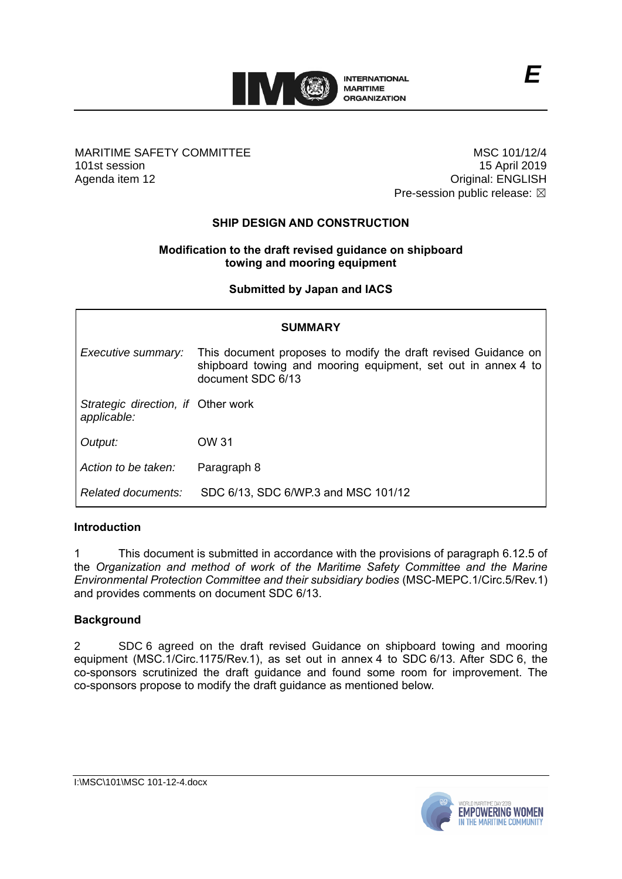

## MARITIME SAFETY COMMITTEE 101st session Agenda item 12

MSC 101/12/4 15 April 2019 Original: ENGLISH Pre-session public release:  $\boxtimes$ 

## **SHIP DESIGN AND CONSTRUCTION**

## **Modification to the draft revised guidance on shipboard towing and mooring equipment**

## **Submitted by Japan and IACS**

| <b>SUMMARY</b>                                    |                                                                                                                                                      |
|---------------------------------------------------|------------------------------------------------------------------------------------------------------------------------------------------------------|
| Executive summary:                                | This document proposes to modify the draft revised Guidance on<br>shipboard towing and mooring equipment, set out in annex 4 to<br>document SDC 6/13 |
| Strategic direction, if Other work<br>applicable: |                                                                                                                                                      |
| Output:                                           | OW 31                                                                                                                                                |
| Action to be taken:                               | Paragraph 8                                                                                                                                          |
| Related documents:                                | SDC 6/13, SDC 6/WP.3 and MSC 101/12                                                                                                                  |

#### **Introduction**

1 This document is submitted in accordance with the provisions of paragraph 6.12.5 of the *Organization and method of work of the Maritime Safety Committee and the Marine Environmental Protection Committee and their subsidiary bodies* (MSC-MEPC.1/Circ.5/Rev.1) and provides comments on document SDC 6/13.

#### **Background**

2 SDC 6 agreed on the draft revised Guidance on shipboard towing and mooring equipment (MSC.1/Circ.1175/Rev.1), as set out in annex 4 to SDC 6/13. After SDC 6, the co-sponsors scrutinized the draft guidance and found some room for improvement. The co-sponsors propose to modify the draft guidance as mentioned below.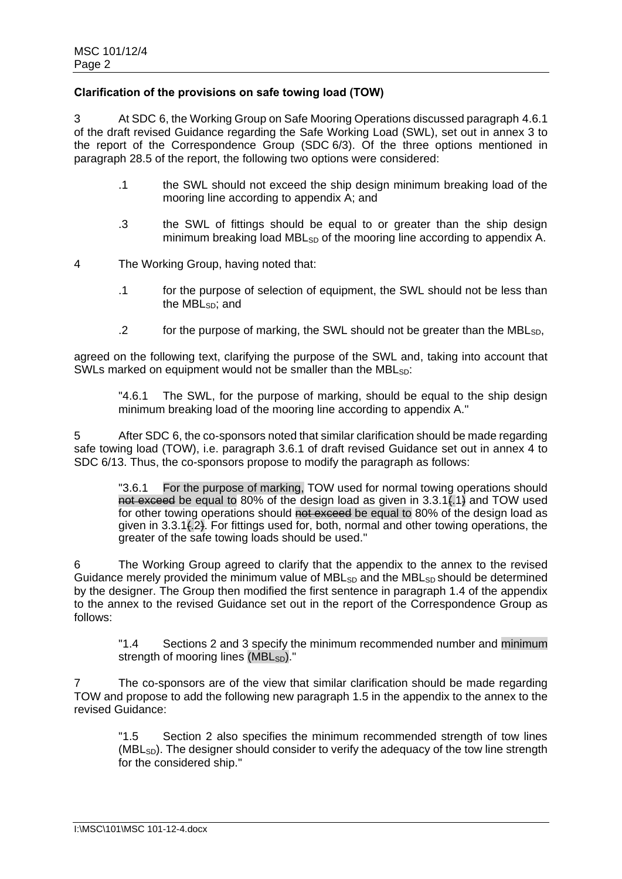## **Clarification of the provisions on safe towing load (TOW)**

3 At SDC 6, the Working Group on Safe Mooring Operations discussed paragraph 4.6.1 of the draft revised Guidance regarding the Safe Working Load (SWL), set out in annex 3 to the report of the Correspondence Group (SDC 6/3). Of the three options mentioned in paragraph 28.5 of the report, the following two options were considered:

- .1 the SWL should not exceed the ship design minimum breaking load of the mooring line according to appendix A; and
- .3 the SWL of fittings should be equal to or greater than the ship design minimum breaking load MBL<sub>SD</sub> of the mooring line according to appendix A.
- 4 The Working Group, having noted that:
	- .1 for the purpose of selection of equipment, the SWL should not be less than the MBL $\sin$  and
	- .2 for the purpose of marking, the SWL should not be greater than the MBL<sub>SD</sub>,

agreed on the following text, clarifying the purpose of the SWL and, taking into account that SWLs marked on equipment would not be smaller than the MBL<sub>SD</sub>:

"4.6.1 The SWL, for the purpose of marking, should be equal to the ship design minimum breaking load of the mooring line according to appendix A."

5 After SDC 6, the co-sponsors noted that similar clarification should be made regarding safe towing load (TOW), i.e. paragraph 3.6.1 of draft revised Guidance set out in annex 4 to SDC 6/13. Thus, the co-sponsors propose to modify the paragraph as follows:

"3.6.1 For the purpose of marking, TOW used for normal towing operations should not exceed be equal to 80% of the design load as given in  $3.3.1\overline{1}$ , and TOW used for other towing operations should not exceed be equal to 80% of the design load as given in 3.3.1(.2). For fittings used for, both, normal and other towing operations, the greater of the safe towing loads should be used."

6 The Working Group agreed to clarify that the appendix to the annex to the revised Guidance merely provided the minimum value of  $MBL<sub>SD</sub>$  and the  $MBL<sub>SD</sub>$  should be determined by the designer. The Group then modified the first sentence in paragraph 1.4 of the appendix to the annex to the revised Guidance set out in the report of the Correspondence Group as follows:

"1.4 Sections 2 and 3 specify the minimum recommended number and minimum strength of mooring lines (MBL<sub>SD</sub>)."

7 The co-sponsors are of the view that similar clarification should be made regarding TOW and propose to add the following new paragraph 1.5 in the appendix to the annex to the revised Guidance:

"1.5 Section 2 also specifies the minimum recommended strength of tow lines  $(MBL<sub>SD</sub>)$ . The designer should consider to verify the adequacy of the tow line strength for the considered ship."